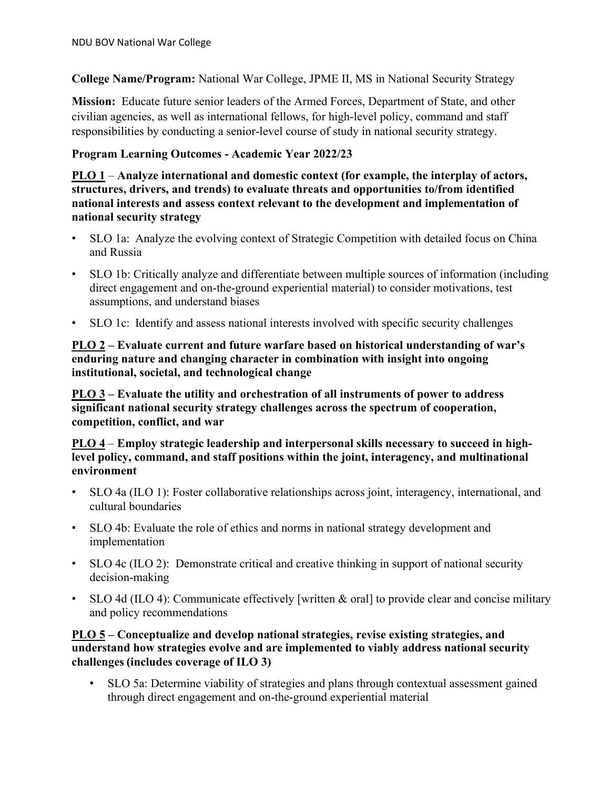**College Name/Program:** National War College, JPME II, MS in National Security Strategy

**Mission:** Educate future senior leaders of the Armed Forces, Department of State, and other civilian agencies, as well as international fellows, for high-level policy, command and staff responsibilities by conducting a senior-level course of study in national security strategy.

# **Program Learning Outcomes - Academic Year 2022/23**

**PLO 1** – **Analyze international and domestic context (for example, the interplay of actors, structures, drivers, and trends) to evaluate threats and opportunities to/from identified national interests and assess context relevant to the development and implementation of national security strategy**

- SLO 1a:  Analyze the evolving context of Strategic Competition with detailed focus on China and Russia
- SLO 1b: Critically analyze and differentiate between multiple sources of information (including direct engagement and on-the-ground experiential material) to consider motivations, test assumptions, and understand biases
- SLO 1c: Identify and assess national interests involved with specific security challenges

### **PLO 2 – Evaluate current and future warfare based on historical understanding of war's enduring nature and changing character in combination with insight into ongoing institutional, societal, and technological change**

**PLO 3 – Evaluate the utility and orchestration of all instruments of power to address significant national security strategy challenges across the spectrum of cooperation, competition, conflict, and war**

### **PLO 4** – **Employ strategic leadership and interpersonal skills necessary to succeed in highlevel policy, command, and staff positions within the joint, interagency, and multinational environment**

- SLO 4a (ILO 1): Foster collaborative relationships across joint, interagency, international, and cultural boundaries
- SLO 4b: Evaluate the role of ethics and norms in national strategy development and implementation
- SLO 4c (ILO 2): Demonstrate critical and creative thinking in support of national security decision-making
- SLO 4d (ILO 4): Communicate effectively [written & oral] to provide clear and concise military and policy recommendations

## **PLO 5 – Conceptualize and develop national strategies, revise existing strategies, and understand how strategies evolve and are implemented to viably address national security challenges (includes coverage of ILO 3)**

• SLO 5a: Determine viability of strategies and plans through contextual assessment gained through direct engagement and on-the-ground experiential material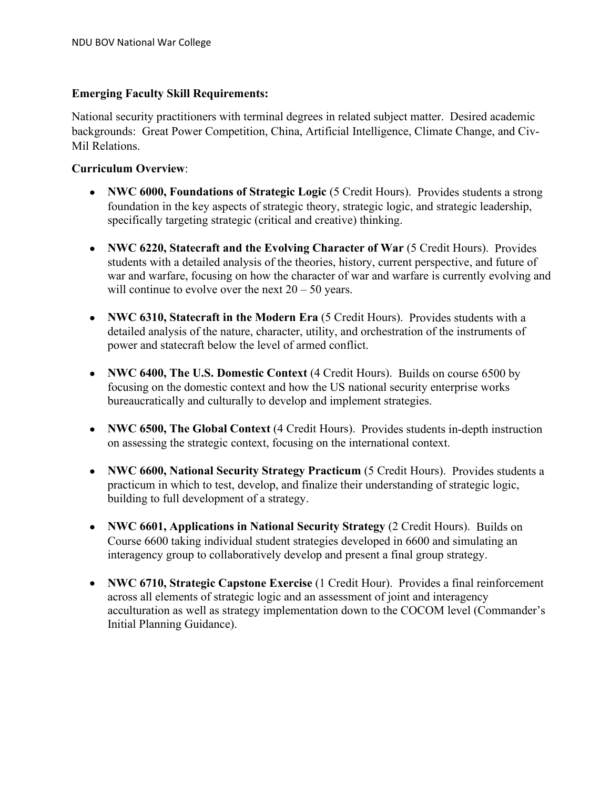# **Emerging Faculty Skill Requirements:**

National security practitioners with terminal degrees in related subject matter. Desired academic backgrounds: Great Power Competition, China, Artificial Intelligence, Climate Change, and Civ-Mil Relations.

# **Curriculum Overview**:

- **NWC 6000, Foundations of Strategic Logic** (5 Credit Hours). Provides students a strong foundation in the key aspects of strategic theory, strategic logic, and strategic leadership, specifically targeting strategic (critical and creative) thinking.
- **NWC 6220, Statecraft and the Evolving Character of War** (5 Credit Hours). Provides students with a detailed analysis of the theories, history, current perspective, and future of war and warfare, focusing on how the character of war and warfare is currently evolving and will continue to evolve over the next  $20 - 50$  years.
- **NWC 6310, Statecraft in the Modern Era** (5 Credit Hours). Provides students with a detailed analysis of the nature, character, utility, and orchestration of the instruments of power and statecraft below the level of armed conflict.
- **NWC 6400, The U.S. Domestic Context** (4 Credit Hours). Builds on course 6500 by focusing on the domestic context and how the US national security enterprise works bureaucratically and culturally to develop and implement strategies.
- **NWC 6500, The Global Context** (4 Credit Hours). Provides students in-depth instruction on assessing the strategic context, focusing on the international context.
- **NWC 6600, National Security Strategy Practicum** (5 Credit Hours). Provides students a practicum in which to test, develop, and finalize their understanding of strategic logic, building to full development of a strategy.
- **NWC 6601, Applications in National Security Strategy** (2 Credit Hours). Builds on Course 6600 taking individual student strategies developed in 6600 and simulating an interagency group to collaboratively develop and present a final group strategy.
- **NWC 6710, Strategic Capstone Exercise** (1 Credit Hour). Provides a final reinforcement across all elements of strategic logic and an assessment of joint and interagency acculturation as well as strategy implementation down to the COCOM level (Commander's Initial Planning Guidance).